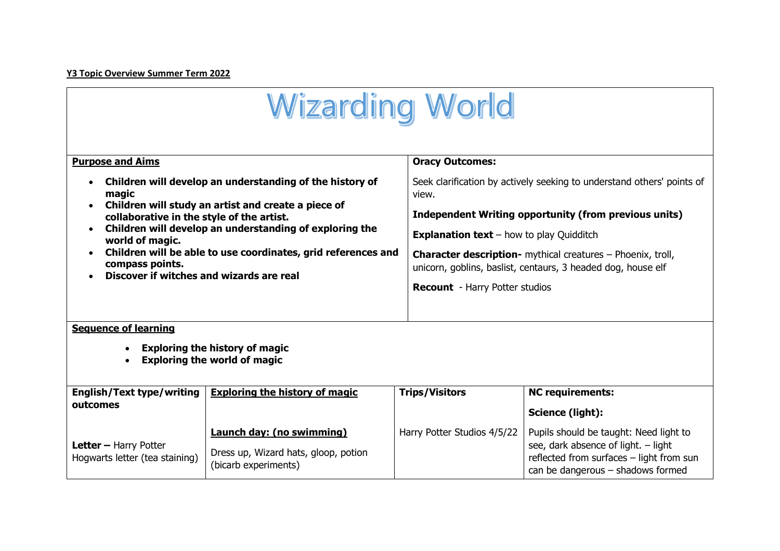## **Y3 Topic Overview Summer Term 2022**

| <b>Wizarding World</b>                                                                                                                                                                                                                                                                                                                                                              |                                                                                                  |                                                                                                                                                                                                                                                                                                                                                                            |                                                                                                                                                                |
|-------------------------------------------------------------------------------------------------------------------------------------------------------------------------------------------------------------------------------------------------------------------------------------------------------------------------------------------------------------------------------------|--------------------------------------------------------------------------------------------------|----------------------------------------------------------------------------------------------------------------------------------------------------------------------------------------------------------------------------------------------------------------------------------------------------------------------------------------------------------------------------|----------------------------------------------------------------------------------------------------------------------------------------------------------------|
| <b>Purpose and Aims</b>                                                                                                                                                                                                                                                                                                                                                             |                                                                                                  | <b>Oracy Outcomes:</b>                                                                                                                                                                                                                                                                                                                                                     |                                                                                                                                                                |
| Children will develop an understanding of the history of<br>magic<br>Children will study an artist and create a piece of<br>collaborative in the style of the artist.<br>Children will develop an understanding of exploring the<br>world of magic.<br>Children will be able to use coordinates, grid references and<br>compass points.<br>Discover if witches and wizards are real |                                                                                                  | Seek clarification by actively seeking to understand others' points of<br>view.<br>Independent Writing opportunity (from previous units)<br><b>Explanation text</b> – how to play Quidditch<br><b>Character description-</b> mythical creatures - Phoenix, troll,<br>unicorn, goblins, baslist, centaurs, 3 headed dog, house elf<br><b>Recount</b> - Harry Potter studios |                                                                                                                                                                |
| <b>Sequence of learning</b><br><b>Exploring the history of magic</b><br><b>Exploring the world of magic</b>                                                                                                                                                                                                                                                                         |                                                                                                  |                                                                                                                                                                                                                                                                                                                                                                            |                                                                                                                                                                |
| <b>English/Text type/writing</b>                                                                                                                                                                                                                                                                                                                                                    | <b>Exploring the history of magic</b>                                                            | <b>Trips/Visitors</b>                                                                                                                                                                                                                                                                                                                                                      | <b>NC requirements:</b>                                                                                                                                        |
| outcomes                                                                                                                                                                                                                                                                                                                                                                            |                                                                                                  |                                                                                                                                                                                                                                                                                                                                                                            | Science (light):                                                                                                                                               |
| Letter - Harry Potter<br>Hoqwarts letter (tea staining)                                                                                                                                                                                                                                                                                                                             | <b>Launch day: (no swimming)</b><br>Dress up, Wizard hats, gloop, potion<br>(bicarb experiments) | Harry Potter Studios 4/5/22                                                                                                                                                                                                                                                                                                                                                | Pupils should be taught: Need light to<br>see, dark absence of light. - light<br>reflected from surfaces - light from sun<br>can be dangerous - shadows formed |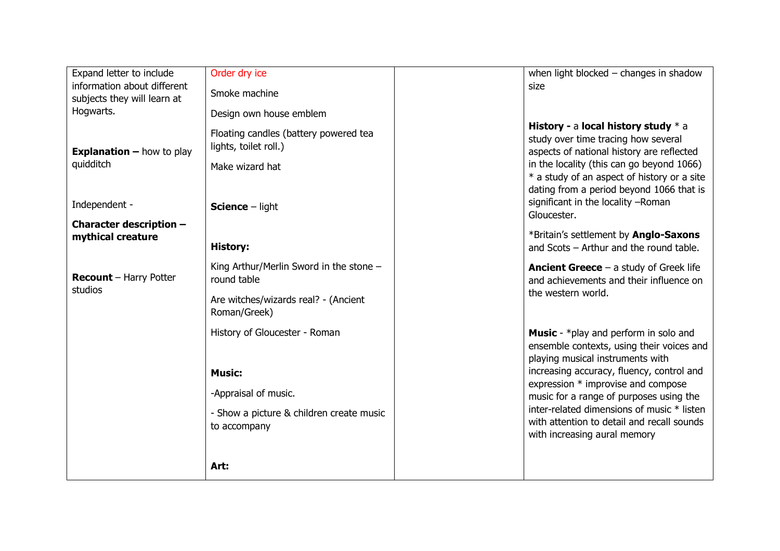| Expand letter to include                                   | Order dry ice                                                  | when light blocked $-$ changes in shadow                                                                                                     |
|------------------------------------------------------------|----------------------------------------------------------------|----------------------------------------------------------------------------------------------------------------------------------------------|
| information about different<br>subjects they will learn at | Smoke machine                                                  | size                                                                                                                                         |
| Hogwarts.                                                  | Design own house emblem                                        |                                                                                                                                              |
| <b>Explanation - how to play</b>                           | Floating candles (battery powered tea<br>lights, toilet roll.) | History - a local history study $*$ a<br>study over time tracing how several<br>aspects of national history are reflected                    |
| quidditch                                                  | Make wizard hat                                                | in the locality (this can go beyond 1066)                                                                                                    |
| Independent -                                              | <b>Science - light</b>                                         | * a study of an aspect of history or a site<br>dating from a period beyond 1066 that is<br>significant in the locality -Roman<br>Gloucester. |
| Character description -<br>mythical creature               |                                                                | *Britain's settlement by Anglo-Saxons                                                                                                        |
|                                                            | <b>History:</b>                                                | and Scots - Arthur and the round table.                                                                                                      |
| <b>Recount</b> - Harry Potter<br>studios                   | King Arthur/Merlin Sword in the stone -<br>round table         | <b>Ancient Greece</b> $-$ a study of Greek life<br>and achievements and their influence on                                                   |
|                                                            | Are witches/wizards real? - (Ancient<br>Roman/Greek)           | the western world.                                                                                                                           |
|                                                            | History of Gloucester - Roman                                  | <b>Music</b> - *play and perform in solo and                                                                                                 |
|                                                            |                                                                | ensemble contexts, using their voices and<br>playing musical instruments with                                                                |
|                                                            | <b>Music:</b>                                                  | increasing accuracy, fluency, control and                                                                                                    |
|                                                            | -Appraisal of music.                                           | expression * improvise and compose<br>music for a range of purposes using the                                                                |
|                                                            | - Show a picture & children create music                       | inter-related dimensions of music * listen                                                                                                   |
|                                                            | to accompany                                                   | with attention to detail and recall sounds                                                                                                   |
|                                                            |                                                                | with increasing aural memory                                                                                                                 |
|                                                            | Art:                                                           |                                                                                                                                              |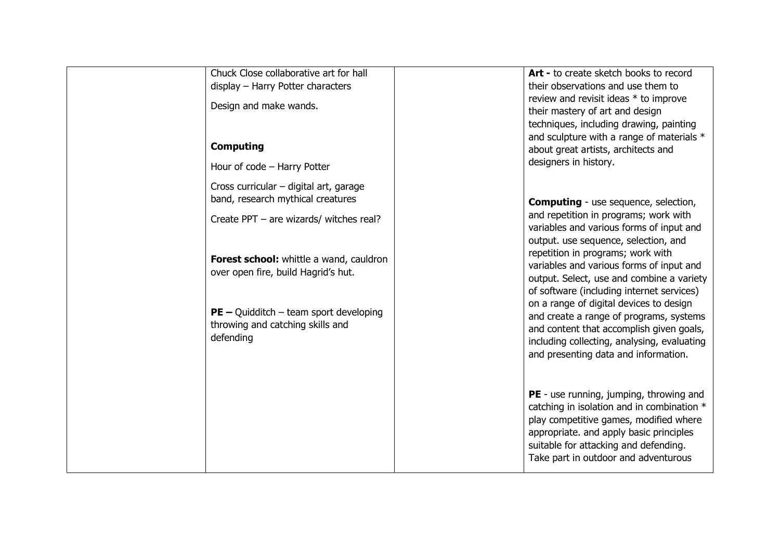| Chuck Close collaborative art for hall<br>display - Harry Potter characters               | Art - to create sketch books to record<br>their observations and use them to                                                                                                                                                                                       |
|-------------------------------------------------------------------------------------------|--------------------------------------------------------------------------------------------------------------------------------------------------------------------------------------------------------------------------------------------------------------------|
| Design and make wands.                                                                    | review and revisit ideas * to improve<br>their mastery of art and design                                                                                                                                                                                           |
| <b>Computing</b><br>Hour of code - Harry Potter                                           | techniques, including drawing, painting<br>and sculpture with a range of materials *<br>about great artists, architects and<br>designers in history.                                                                                                               |
| Cross curricular - digital art, garage<br>band, research mythical creatures               | <b>Computing</b> - use sequence, selection,                                                                                                                                                                                                                        |
| Create PPT - are wizards/ witches real?                                                   | and repetition in programs; work with<br>variables and various forms of input and<br>output. use sequence, selection, and                                                                                                                                          |
| Forest school: whittle a wand, cauldron<br>over open fire, build Hagrid's hut.            | repetition in programs; work with<br>variables and various forms of input and<br>output. Select, use and combine a variety<br>of software (including internet services)                                                                                            |
| $PE - Quidditch - team sport developing$<br>throwing and catching skills and<br>defending | on a range of digital devices to design<br>and create a range of programs, systems<br>and content that accomplish given goals,<br>including collecting, analysing, evaluating<br>and presenting data and information.                                              |
|                                                                                           | <b>PE</b> - use running, jumping, throwing and<br>catching in isolation and in combination *<br>play competitive games, modified where<br>appropriate. and apply basic principles<br>suitable for attacking and defending.<br>Take part in outdoor and adventurous |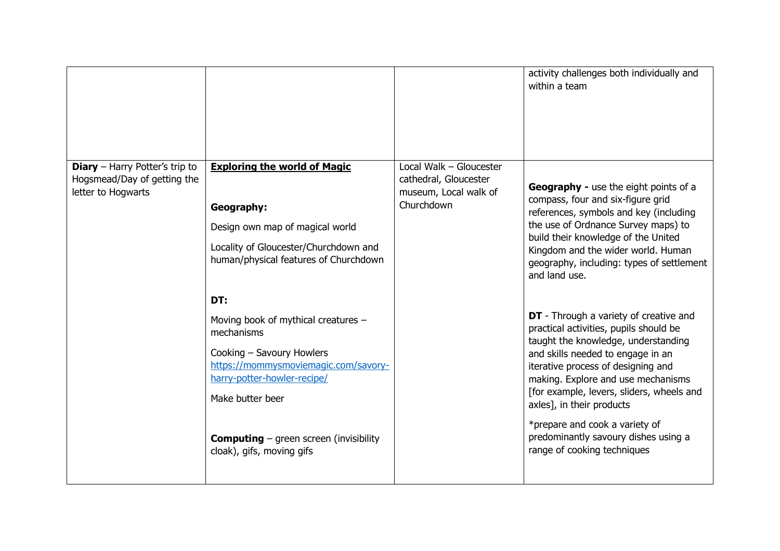|                                                                                            |                                                                                                                                                                                                                                                                |                                                                                         | activity challenges both individually and<br>within a team                                                                                                                                                                                                                                                                                                                                                                         |
|--------------------------------------------------------------------------------------------|----------------------------------------------------------------------------------------------------------------------------------------------------------------------------------------------------------------------------------------------------------------|-----------------------------------------------------------------------------------------|------------------------------------------------------------------------------------------------------------------------------------------------------------------------------------------------------------------------------------------------------------------------------------------------------------------------------------------------------------------------------------------------------------------------------------|
| <b>Diary</b> - Harry Potter's trip to<br>Hogsmead/Day of getting the<br>letter to Hogwarts | <b>Exploring the world of Magic</b><br><b>Geography:</b><br>Design own map of magical world<br>Locality of Gloucester/Churchdown and<br>human/physical features of Churchdown                                                                                  | Local Walk - Gloucester<br>cathedral, Gloucester<br>museum, Local walk of<br>Churchdown | <b>Geography - use the eight points of a</b><br>compass, four and six-figure grid<br>references, symbols and key (including<br>the use of Ordnance Survey maps) to<br>build their knowledge of the United<br>Kingdom and the wider world. Human<br>geography, including: types of settlement<br>and land use.                                                                                                                      |
|                                                                                            | DT:<br>Moving book of mythical creatures -<br>mechanisms<br>Cooking - Savoury Howlers<br>https://mommysmoviemagic.com/savory-<br>harry-potter-howler-recipe/<br>Make butter beer<br><b>Computing</b> – green screen (invisibility<br>cloak), gifs, moving gifs |                                                                                         | <b>DT</b> - Through a variety of creative and<br>practical activities, pupils should be<br>taught the knowledge, understanding<br>and skills needed to engage in an<br>iterative process of designing and<br>making. Explore and use mechanisms<br>[for example, levers, sliders, wheels and<br>axles], in their products<br>*prepare and cook a variety of<br>predominantly savoury dishes using a<br>range of cooking techniques |